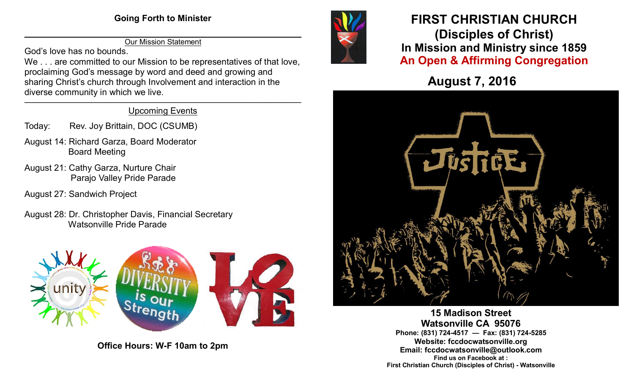$\overline{\phantom{a}}$  , and the contribution of the contribution of the contribution of the contribution of the contribution of the contribution of the contribution of the contribution of the contribution of the contribution of the Our Mission Statement

God's love has no bounds.

We . . . are committed to our Mission to be representatives of that love. proclaiming God's message by word and deed and growing and sharing Christ's church through Involvement and interaction in the diverse community in which we live.

#### \_\_\_\_\_\_\_\_\_\_\_\_\_\_\_\_\_\_\_\_\_\_\_\_\_\_\_\_\_\_\_\_\_\_\_\_\_\_\_\_\_\_\_\_\_\_\_\_\_\_\_\_\_\_\_\_\_\_\_\_\_\_\_\_\_\_\_\_\_\_\_\_\_\_\_\_\_\_\_\_\_\_\_\_\_\_\_\_\_\_\_\_\_\_\_\_\_\_\_ Upcoming Events

- Today: Rev. Joy Brittain, DOC (CSUMB)
- August 14: Richard Garza, Board Moderator Board Meeting
- August 21: Cathy Garza, Nurture Chair Parajo Valley Pride Parade
- August 27: Sandwich Project
- August 28: Dr. Christopher Davis, Financial Secretary Watsonville Pride Parade



**Office Hours: W-F 10am to 2pm**



# **FIRST CHRISTIAN CHURCH (Disciples of Christ) In Mission and Ministry since 1859 An Open & Affirming Congregation**

**August 7, 2016**



**15 Madison Street Watsonville CA 95076 Phone: (831) 724-4517 — Fax: (831) 724-5285 Website: fccdocwatsonville.org Email: fccdocwatsonville@outlook.com Find us on Facebook at : First Christian Church (Disciples of Christ) - Watsonville**